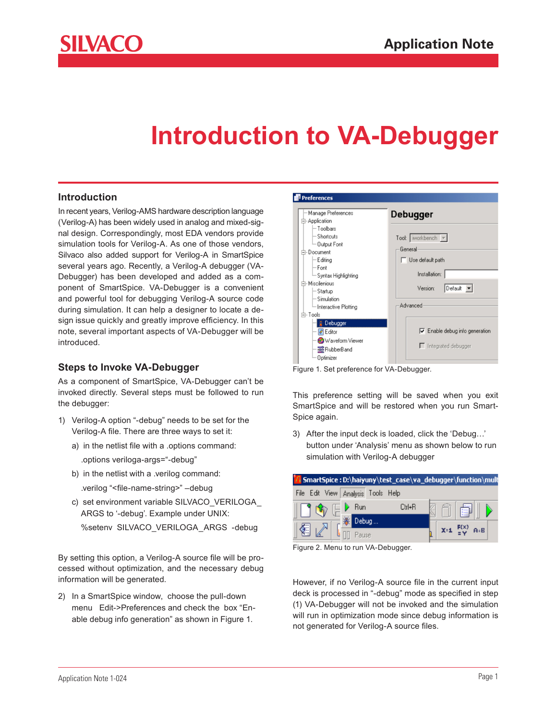

# **Introduction to VA-Debugger**

#### **Introduction**

In recent years, Verilog-AMS hardware description language (Verilog-A) has been widely used in analog and mixed-signal design. Correspondingly, most EDA vendors provide simulation tools for Verilog-A. As one of those vendors, Silvaco also added support for Verilog-A in SmartSpice several years ago. Recently, a Verilog-A debugger (VA-Debugger) has been developed and added as a component of SmartSpice. VA-Debugger is a convenient and powerful tool for debugging Verilog-A source code during simulation. It can help a designer to locate a design issue quickly and greatly improve efficiency. In this note, several important aspects of VA-Debugger will be introduced.

### **Steps to Invoke VA-Debugger**

As a component of SmartSpice, VA-Debugger can't be invoked directly. Several steps must be followed to run the debugger:

- 1) Verilog-A option "-debug" needs to be set for the Verilog-A file. There are three ways to set it:
	- a) in the netlist file with a .options command:

.options veriloga-args="-debug"

- b) in the netlist with a .verilog command:
	- .verilog "<file-name-string>" –debug
- c) set environment variable SILVACO\_VERILOGA\_ ARGS to '-debug'. Example under UNIX:

%setenv SILVACO\_VERILOGA\_ARGS -debug

By setting this option, a Verilog-A source file will be processed without optimization, and the necessary debug information will be generated.

2) In a SmartSpice window, choose the pull-down menu Edit->Preferences and check the box "Enable debug info generation" as shown in Figure 1.



Figure 1. Set preference for VA-Debugger.

This preference setting will be saved when you exit SmartSpice and will be restored when you run Smart-Spice again.

3) After the input deck is loaded, click the 'Debug…' button under 'Analysis' menu as shown below to run simulation with Verilog-A debugger



Figure 2. Menu to run VA-Debugger.

However, if no Verilog-A source file in the current input deck is processed in "-debug" mode as specified in step (1) VA-Debugger will not be invoked and the simulation will run in optimization mode since debug information is not generated for Verilog-A source files.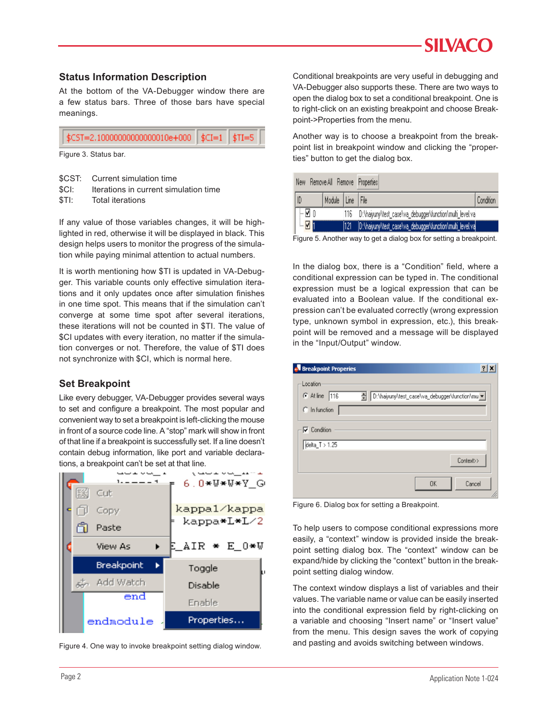### **Status Information Description**

At the bottom of the VA-Debugger window there are a few status bars. Three of those bars have special meanings.

| $\sqrt{$\text{CST} = 2.100000000000000010e+000}$ $\sqrt{$\text{CI} = 1 \sqrt{$\text{TI} = 5}$ |  |
|-----------------------------------------------------------------------------------------------|--|
|-----------------------------------------------------------------------------------------------|--|

- \$CST: Current simulation time
- \$CI: Iterations in current simulation time
- \$TI: Total iterations

If any value of those variables changes, it will be highlighted in red, otherwise it will be displayed in black. This design helps users to monitor the progress of the simulation while paying minimal attention to actual numbers.

It is worth mentioning how \$TI is updated in VA-Debugger. This variable counts only effective simulation iterations and it only updates once after simulation finishes in one time spot. This means that if the simulation can't converge at some time spot after several iterations, these iterations will not be counted in \$TI. The value of \$CI updates with every iteration, no matter if the simulation converges or not. Therefore, the value of \$TI does not synchronize with \$CI, which is normal here.

### **Set Breakpoint**

Like every debugger, VA-Debugger provides several ways to set and configure a breakpoint. The most popular and convenient way to set a breakpoint is left-clicking the mouse in front of a source code line. A "stop" mark will show in front of that line if a breakpoint is successfully set. If a line doesn't contain debug information, like port and variable declarations, a breakpoint can't be set at that line.



Figure 4. One way to invoke breakpoint setting dialog window.

Conditional breakpoints are very useful in debugging and VA-Debugger also supports these. There are two ways to open the dialog box to set a conditional breakpoint. One is to right-click on an existing breakpoint and choose Breakpoint->Properties from the menu.

Another way is to choose a breakpoint from the breakpoint list in breakpoint window and clicking the "proper-Figure 3. Status bar. The contract of the dialog box. Figure 3. Status bar.

|  | Remove All Remove Properties<br>New |           |                  |      |                                                              |           |
|--|-------------------------------------|-----------|------------------|------|--------------------------------------------------------------|-----------|
|  |                                     |           | Module Line File |      |                                                              | Condition |
|  |                                     | - ⊠ 0     |                  |      | 116 D:\haiyuny\test_case\va_debugger\function\multi_level.va |           |
|  |                                     | <b>Vi</b> |                  | 1121 | [D:\haiyuny\test_case\va_debugger\function\multi_level.va    |           |

Figure 5. Another way to get a dialog box for setting a breakpoint.

In the dialog box, there is a "Condition" field, where a conditional expression can be typed in. The conditional expression must be a logical expression that can be evaluated into a Boolean value. If the conditional expression can't be evaluated correctly (wrong expression type, unknown symbol in expression, etc.), this breakpoint will be removed and a message will be displayed in the "Input/Output" window.

| <b>Breakpoint Properies</b>                         | ?                                                |  |
|-----------------------------------------------------|--------------------------------------------------|--|
| Location<br>$\odot$ At line<br>116<br>C In function | 즉 D:\haiyuny\test_case\va_debugger\function\mu v |  |
| $\nabla$ Condition<br>delta_T > 1.25                |                                                  |  |
|                                                     | Context>>                                        |  |
|                                                     | 0K<br>Cancel                                     |  |

Figure 6. Dialog box for setting a Breakpoint.

To help users to compose conditional expressions more easily, a "context" window is provided inside the breakpoint setting dialog box. The "context" window can be expand/hide by clicking the "context" button in the breakpoint setting dialog window.

The context window displays a list of variables and their values. The variable name or value can be easily inserted into the conditional expression field by right-clicking on a variable and choosing "Insert name" or "Insert value" from the menu. This design saves the work of copying and pasting and avoids switching between windows.